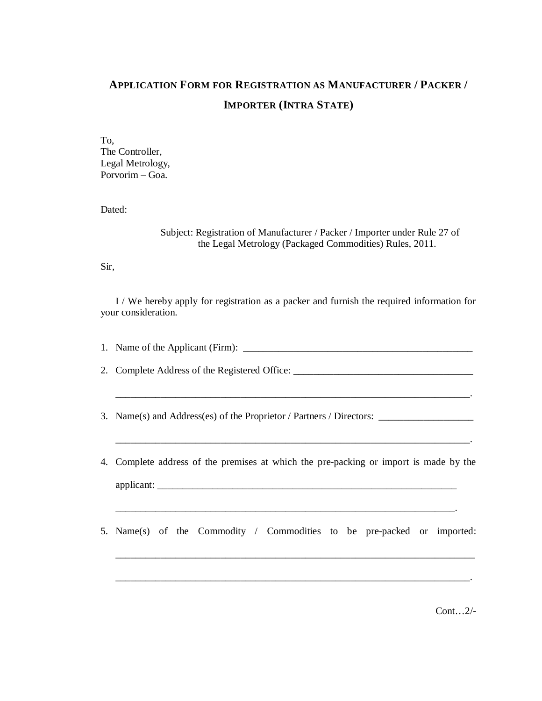## **APPLICATION FORM FOR REGISTRATION AS MANUFACTURER / PACKER / IMPORTER (INTRA STATE)**

To, The Controller, Legal Metrology, Porvorim – Goa.

Dated:

Subject: Registration of Manufacturer / Packer / Importer under Rule 27 of the Legal Metrology (Packaged Commodities) Rules, 2011.

Sir,

I / We hereby apply for registration as a packer and furnish the required information for your consideration.

1. Name of the Applicant (Firm): \_\_\_\_\_\_\_\_\_\_\_\_\_\_\_\_\_\_\_\_\_\_\_\_\_\_\_\_\_\_\_\_\_\_\_\_\_\_\_\_\_\_\_\_\_\_

2. Complete Address of the Registered Office:

\_\_\_\_\_\_\_\_\_\_\_\_\_\_\_\_\_\_\_\_\_\_\_\_\_\_\_\_\_\_\_\_\_\_\_\_\_\_\_\_\_\_\_\_\_\_\_\_\_\_\_\_\_\_\_\_\_\_\_\_\_\_\_\_\_\_\_\_\_\_\_.

\_\_\_\_\_\_\_\_\_\_\_\_\_\_\_\_\_\_\_\_\_\_\_\_\_\_\_\_\_\_\_\_\_\_\_\_\_\_\_\_\_\_\_\_\_\_\_\_\_\_\_\_\_\_\_\_\_\_\_\_\_\_\_\_\_\_\_\_\_\_\_.

3. Name(s) and Address(es) of the Proprietor / Partners / Directors: \_\_\_\_\_\_\_\_\_\_\_\_

- 4. Complete address of the premises at which the pre-packing or import is made by the applicant: \_\_\_\_\_\_\_\_\_\_\_\_\_\_\_\_\_\_\_\_\_\_\_\_\_\_\_\_\_\_\_\_\_\_\_\_\_\_\_\_\_\_\_\_\_\_\_\_\_\_\_\_\_\_\_\_\_\_\_\_
- 5. Name(s) of the Commodity / Commodities to be pre-packed or imported:

\_\_\_\_\_\_\_\_\_\_\_\_\_\_\_\_\_\_\_\_\_\_\_\_\_\_\_\_\_\_\_\_\_\_\_\_\_\_\_\_\_\_\_\_\_\_\_\_\_\_\_\_\_\_\_\_\_\_\_\_\_\_\_\_\_\_\_\_\_\_\_.

\_\_\_\_\_\_\_\_\_\_\_\_\_\_\_\_\_\_\_\_\_\_\_\_\_\_\_\_\_\_\_\_\_\_\_\_\_\_\_\_\_\_\_\_\_\_\_\_\_\_\_\_\_\_\_\_\_\_\_\_\_\_\_\_\_\_\_\_.

 $Cont 2/$